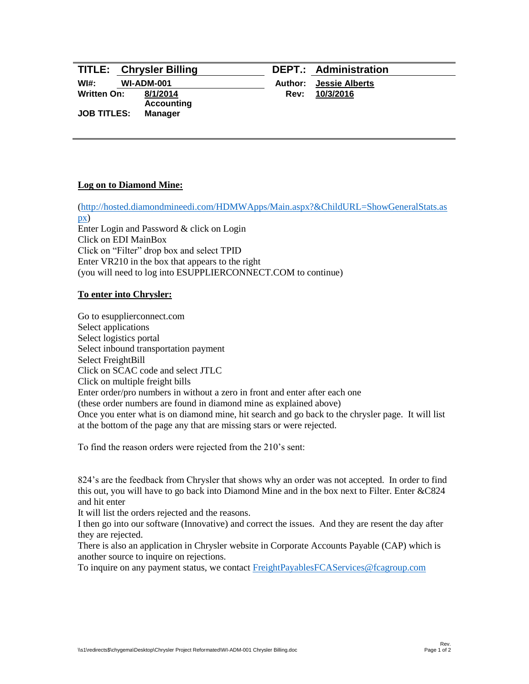|                    | <b>TITLE: Chrysler Billing</b> |             | <b>DEPT.: Administration</b> |
|--------------------|--------------------------------|-------------|------------------------------|
| WI#:               | <b>WI-ADM-001</b>              | Author:     | <b>Jessie Alberts</b>        |
| Written On:        | 8/1/2014<br><b>Accounting</b>  | <b>Rev:</b> | 10/3/2016                    |
| <b>JOB TITLES:</b> | <b>Manager</b>                 |             |                              |
|                    |                                |             |                              |

# **Log on to Diamond Mine:**

[\(http://hosted.diamondmineedi.com/HDMWApps/Main.aspx?&ChildURL=ShowGeneralStats.as](http://hosted.diamondmineedi.com/HDMWApps/Main.aspx?&ChildURL=ShowGeneralStats.aspx) [px\)](http://hosted.diamondmineedi.com/HDMWApps/Main.aspx?&ChildURL=ShowGeneralStats.aspx) Enter Login and Password & click on Login Click on EDI MainBox Click on "Filter" drop box and select TPID Enter VR210 in the box that appears to the right (you will need to log into ESUPPLIERCONNECT.COM to continue)

# **To enter into Chrysler:**

Go to esupplierconnect.com Select applications Select logistics portal Select inbound transportation payment Select FreightBill Click on SCAC code and select JTLC Click on multiple freight bills Enter order/pro numbers in without a zero in front and enter after each one (these order numbers are found in diamond mine as explained above) Once you enter what is on diamond mine, hit search and go back to the chrysler page. It will list at the bottom of the page any that are missing stars or were rejected.

To find the reason orders were rejected from the 210's sent:

824's are the feedback from Chrysler that shows why an order was not accepted. In order to find this out, you will have to go back into Diamond Mine and in the box next to Filter. Enter &C824 and hit enter

It will list the orders rejected and the reasons.

I then go into our software (Innovative) and correct the issues. And they are resent the day after they are rejected.

There is also an application in Chrysler website in Corporate Accounts Payable (CAP) which is another source to inquire on rejections.

To inquire on any payment status, we contact [FreightPayablesFCAServices@fcagroup.com](mailto:FreightPayablesFCAServices@fcagroup.com)